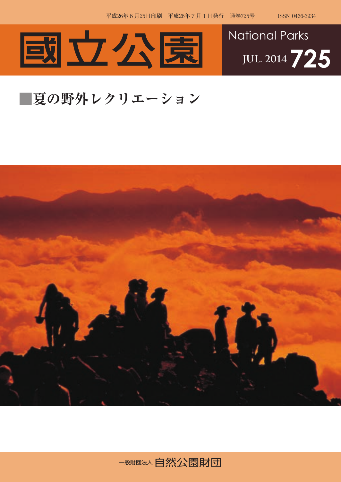



## **■夏の野外レクリエーション**